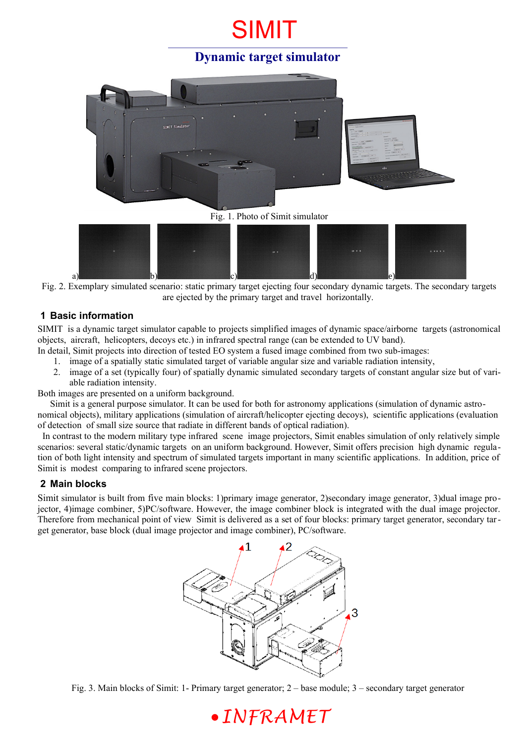# SIMIT

## **Dynamic target simulator**





Fig. 2. Exemplary simulated scenario: static primary target ejecting four secondary dynamic targets. The secondary targets are ejected by the primary target and travel horizontally.

### **1 Basic information**

SIMIT is a dynamic target simulator capable to projects simplified images of dynamic space/airborne targets (astronomical objects, aircraft, helicopters, decoys etc.) in infrared spectral range (can be extended to UV band).

- In detail, Simit projects into direction of tested EO system a fused image combined from two sub-images:
	- 1. image of a spatially static simulated target of variable angular size and variable radiation intensity,
	- 2. image of a set (typically four) of spatially dynamic simulated secondary targets of constant angular size but of variable radiation intensity.

Both images are presented on a uniform background.

Simit is a general purpose simulator. It can be used for both for astronomy applications (simulation of dynamic astronomical objects), military applications (simulation of aircraft/helicopter ejecting decoys), scientific applications (evaluation

of detection of small size source that radiate in different bands of optical radiation).

 In contrast to the modern military type infrared scene image projectors, Simit enables simulation of only relatively simple scenarios: several static/dynamic targets on an uniform background. However, Simit offers precision high dynamic regulation of both light intensity and spectrum of simulated targets important in many scientific applications. In addition, price of Simit is modest comparing to infrared scene projectors.

#### **2 Main blocks**

Simit simulator is built from five main blocks: 1)primary image generator, 2)secondary image generator, 3)dual image projector, 4)image combiner, 5)PC/software. However, the image combiner block is integrated with the dual image projector. Therefore from mechanical point of view Simit is delivered as a set of four blocks: primary target generator, secondary target generator, base block (dual image projector and image combiner), PC/software.



Fig. 3. Main blocks of Simit: 1- Primary target generator; 2 – base module; 3 – secondary target generator

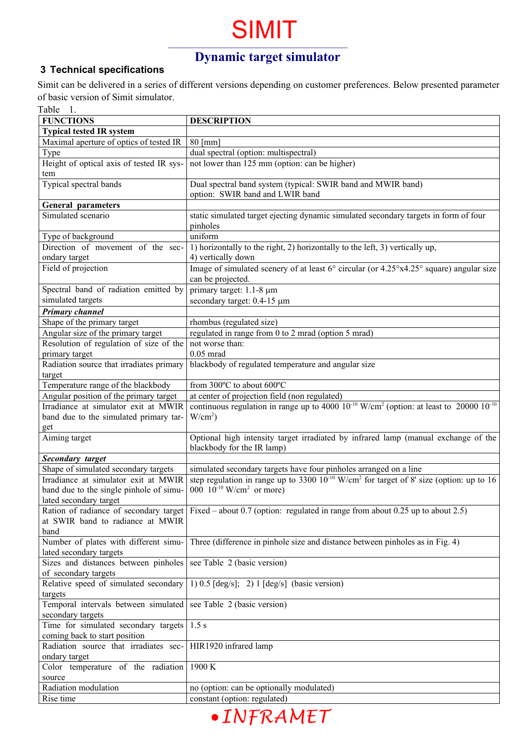# SIMIT

## **Dynamic target simulator**

### **3 Technical specifications**

Simit can be delivered in a series of different versions depending on customer preferences. Below presented parameter of basic version of Simit simulator. Table 1.

| radie i.                                 |                                                                                                                       |
|------------------------------------------|-----------------------------------------------------------------------------------------------------------------------|
| <b>FUNCTIONS</b>                         | <b>DESCRIPTION</b>                                                                                                    |
| <b>Typical tested IR system</b>          |                                                                                                                       |
| Maximal aperture of optics of tested IR  | $80$ [mm]                                                                                                             |
| Type                                     | dual spectral (option: multispectral)                                                                                 |
| Height of optical axis of tested IR sys- | not lower than 125 mm (option: can be higher)                                                                         |
| tem                                      |                                                                                                                       |
| Typical spectral bands                   | Dual spectral band system (typical: SWIR band and MWIR band)                                                          |
|                                          | option: SWIR band and LWIR band                                                                                       |
| <b>General parameters</b>                |                                                                                                                       |
| Simulated scenario                       | static simulated target ejecting dynamic simulated secondary targets in form of four                                  |
|                                          | pinholes                                                                                                              |
| Type of background                       | uniform                                                                                                               |
| Direction of movement of the sec-        | 1) horizontally to the right, 2) horizontally to the left, 3) vertically up,                                          |
|                                          | 4) vertically down                                                                                                    |
| ondary target<br>Field of projection     |                                                                                                                       |
|                                          | Image of simulated scenery of at least 6° circular (or 4.25°x4.25° square) angular size                               |
|                                          | can be projected.                                                                                                     |
| Spectral band of radiation emitted by    | primary target: 1.1-8 µm                                                                                              |
| simulated targets                        | secondary target: 0.4-15 µm                                                                                           |
| <b>Primary channel</b>                   |                                                                                                                       |
| Shape of the primary target              | rhombus (regulated size)                                                                                              |
| Angular size of the primary target       | regulated in range from 0 to 2 mrad (option 5 mrad)                                                                   |
| Resolution of regulation of size of the  | not worse than:                                                                                                       |
| primary target                           | $0.05$ mrad                                                                                                           |
| Radiation source that irradiates primary | blackbody of regulated temperature and angular size                                                                   |
| target                                   |                                                                                                                       |
| Temperature range of the blackbody       | from 300°C to about 600°C                                                                                             |
| Angular position of the primary target   | at center of projection field (non regulated)                                                                         |
| Irradiance at simulator exit at MWIR     | continuous regulation in range up to 4000 $10^{-10}$ W/cm <sup>2</sup> (option: at least to 20000 $10^{-10}$          |
| band due to the simulated primary tar-   | $W/cm2$ )                                                                                                             |
| get                                      |                                                                                                                       |
| Aiming target                            | Optional high intensity target irradiated by infrared lamp (manual exchange of the                                    |
|                                          | blackbody for the IR lamp)                                                                                            |
| <b>Secondary target</b>                  |                                                                                                                       |
| Shape of simulated secondary targets     | simulated secondary targets have four pinholes arranged on a line                                                     |
| Irradiance at simulator exit at MWIR     | step regulation in range up to 3300 $10^{-10}$ W/cm <sup>2</sup> for target of 8' size (option: up to 16              |
| band due to the single pinhole of simu-  | $000 \t 10^{-10}$ W/cm <sup>2</sup> or more)                                                                          |
|                                          |                                                                                                                       |
| lated secondary target                   |                                                                                                                       |
|                                          | Ration of radiance of secondary target Fixed – about 0.7 (option: regulated in range from about 0.25 up to about 2.5) |
| at SWIR band to radiance at MWIR         |                                                                                                                       |
| band                                     |                                                                                                                       |
| Number of plates with different simu-    | Three (difference in pinhole size and distance between pinholes as in Fig. 4)                                         |
| lated secondary targets                  |                                                                                                                       |
| Sizes and distances between pinholes     | see Table 2 (basic version)                                                                                           |
| of secondary targets                     |                                                                                                                       |
| Relative speed of simulated secondary    | 1) $0.5$ [deg/s]; 2) 1 [deg/s] (basic version)                                                                        |
| targets                                  |                                                                                                                       |
| Temporal intervals between simulated     | see Table 2 (basic version)                                                                                           |
| secondary targets                        |                                                                                                                       |
| Time for simulated secondary targets     | 1.5 s                                                                                                                 |
| coming back to start position            |                                                                                                                       |
| Radiation source that irradiates sec-    | HIR1920 infrared lamp                                                                                                 |
| ondary target                            |                                                                                                                       |
| Color temperature of the radiation       | 1900 K                                                                                                                |
| source                                   |                                                                                                                       |
| Radiation modulation                     | no (option: can be optionally modulated)                                                                              |
| Rise time                                | constant (option: regulated)                                                                                          |
|                                          |                                                                                                                       |